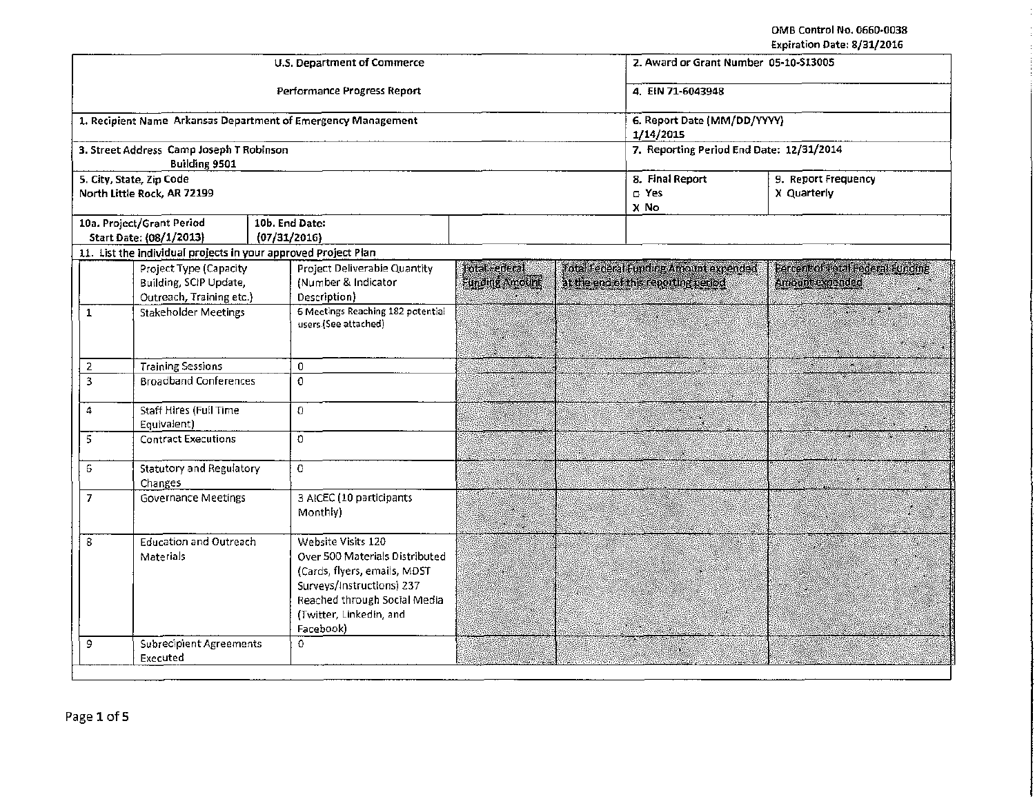OMB Control No, 0660·0038 Expiration Date: 8/31/2016

|                                                                              |                               |                                                                | U.S. Department of Commerce                                                                                                                                                               |                                               | www.areas.com/art<br>2. Award or Grant Number 05-10-S13005                     |                                          |                                                       |  |
|------------------------------------------------------------------------------|-------------------------------|----------------------------------------------------------------|-------------------------------------------------------------------------------------------------------------------------------------------------------------------------------------------|-----------------------------------------------|--------------------------------------------------------------------------------|------------------------------------------|-------------------------------------------------------|--|
|                                                                              |                               |                                                                | Performance Progress Report                                                                                                                                                               |                                               | 4. EIN 71-6043948                                                              |                                          |                                                       |  |
|                                                                              |                               |                                                                | 1. Recipient Name Arkansas Department of Emergency Management                                                                                                                             |                                               | 6. Report Date (MM/DD/YYYY)<br>1/14/2015                                       |                                          |                                                       |  |
|                                                                              |                               | 3. Street Address Camp Joseph T Robinson<br>Building 9501      |                                                                                                                                                                                           |                                               |                                                                                | 7. Reporting Period End Date: 12/31/2014 |                                                       |  |
|                                                                              |                               | 5. City, State, Zip Code<br>North Little Rock, AR 72199        |                                                                                                                                                                                           |                                               |                                                                                | 8. Final Report<br>$\Box$ Yes<br>X No    | 9. Report Frequency<br>X Quarterly                    |  |
|                                                                              |                               | 10a. Project/Grant Period<br>Start Date: (08/1/2013)           | 10b. End Date:<br>(07/31/2016)                                                                                                                                                            |                                               |                                                                                |                                          |                                                       |  |
|                                                                              |                               | 11. List the individual projects in your approved Project Plan |                                                                                                                                                                                           |                                               |                                                                                |                                          |                                                       |  |
| Project Type (Capacity<br>Building, SCIP Update,<br>Outreach, Training etc.) |                               |                                                                | Project Deliverable Quantity<br>(Number & Indicator<br>Description)                                                                                                                       | <b>Total Federal</b><br><b>Funding Amount</b> | Total Federal Euroling Armunt expended<br>at the end of this reporting period. |                                          | Percent of tratal Federal Sunding<br>Ancone expended. |  |
|                                                                              | $\mathbf{1}$                  | <b>Stakeholder Meetings</b>                                    | 6 Meetings Reaching 182 potential<br>users (See attached)                                                                                                                                 | S.                                            |                                                                                |                                          | <u> Parti Mill</u>                                    |  |
|                                                                              | <b>Training Sessions</b><br>2 |                                                                | $\mathbf{0}$                                                                                                                                                                              |                                               |                                                                                |                                          | 40                                                    |  |
| 3<br><b>Broadband Conferences</b>                                            |                               |                                                                | $\Omega$                                                                                                                                                                                  |                                               |                                                                                |                                          | S.                                                    |  |
| <b>Staff Hires (Full Time</b><br>4                                           |                               | Equivalent)                                                    | $\Omega$                                                                                                                                                                                  |                                               |                                                                                |                                          |                                                       |  |
| 5<br><b>Contract Executions</b>                                              |                               |                                                                | $\mathbf{O}$                                                                                                                                                                              | 22                                            |                                                                                |                                          |                                                       |  |
| <b>Statutory and Regulatory</b><br>6.                                        |                               | Changes                                                        | $\Omega$                                                                                                                                                                                  |                                               |                                                                                |                                          |                                                       |  |
| $\overline{7}$                                                               |                               | Governance Meetings                                            | 3 AICEC (10 participants<br>Monthly)                                                                                                                                                      |                                               |                                                                                |                                          |                                                       |  |
| 8<br>Materials                                                               |                               | Education and Outreach                                         | Website Visits 120<br>Over 500 Materials Distributed<br>(Cards, flyers, emails, MDST<br>Surveys/Instructions) 237<br>Reached through Social Media<br>(Twitter, Linkedin, and<br>Facebook) |                                               |                                                                                |                                          |                                                       |  |
|                                                                              | 9                             | Subrecipient Agreements<br>0<br>Executed                       |                                                                                                                                                                                           |                                               |                                                                                |                                          |                                                       |  |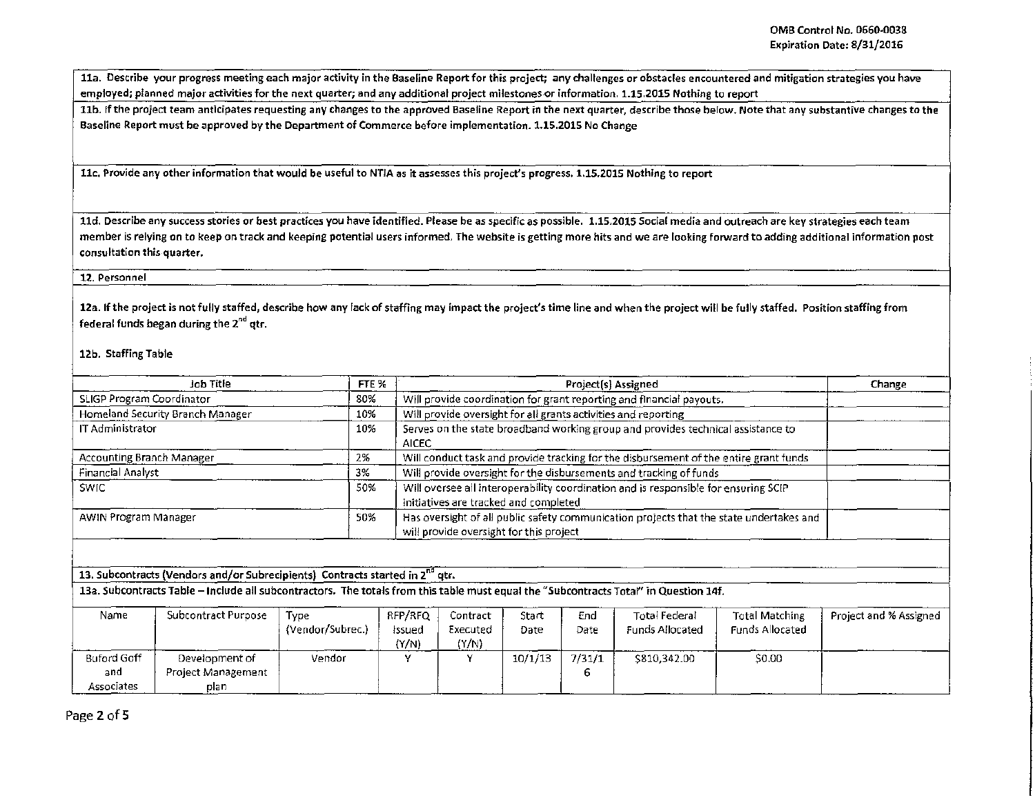lla. Describe your progress meeting each major activity in the Baseline Report for this project; any challenges or obstacles encountered and mitigation strategies you have employed; planned major activities for the next quarter; and any additional project milestones or information. 1.15.2015 Nothing to report

11b. If the project team anticipates requesting any changes to the approved Baseline Report in the next quarter, describe those below. Note that any substantive changes to the Baseline Report must be approved by the Department of Commerce before implementation. 1.15.2015 No Change

llc. Provide any other information that would be useful to NT/A as it assesses this project's progress. 1.1S.2015 Nothing to report

lld. Describe any success stories or best practices you have identified. Please be as specific as possible. 1.1S.201S Social media and outreach are key strategies each team member is relying on to keep on track and keeping potential users informed. The website is getting more hits and we are looking forward to adding additional information post consultation this quarter.

#### 12. Personnel

12a. If the project is not fully staffed, describe how any lack of staffing may impact the project's time line and when the project will be fully staffed. Position staffing from federal funds began during the 2<sup>nd</sup> atr.

### 12b. Staffing Table

| <b>Job Title</b>                                                                          | FTE <sub>%</sub>                                                                          | Project(s) Assigned                                                                                                                   | Change                 |  |  |  |
|-------------------------------------------------------------------------------------------|-------------------------------------------------------------------------------------------|---------------------------------------------------------------------------------------------------------------------------------------|------------------------|--|--|--|
| SLIGP Program Coordinator                                                                 | 80%                                                                                       | Will provide coordination for grant reporting and financial payouts.                                                                  |                        |  |  |  |
| Homeland Security Branch Manager                                                          | 10%                                                                                       | Will provide oversight for all grants activities and reporting                                                                        |                        |  |  |  |
| IT Administrator                                                                          | Serves on the state broadband working group and provides technical assistance to<br>AICEC |                                                                                                                                       |                        |  |  |  |
| Accounting Branch Manager                                                                 | 2%                                                                                        | Will conduct task and provide tracking for the disbursement of the entire grant funds                                                 |                        |  |  |  |
| Financial Analyst                                                                         | 3%                                                                                        | Will provide oversight for the disbursements and tracking of funds                                                                    |                        |  |  |  |
| <b>SWIC</b>                                                                               | 50%                                                                                       | Will oversee all interoperability coordination and is responsible for ensuring SCIP<br>initiatives are tracked and completed          |                        |  |  |  |
| <b>AWIN Program Manager</b>                                                               | 50%                                                                                       | Has oversight of all public safety communication projects that the state undertakes and<br>will provide oversight for this project    |                        |  |  |  |
| 13. Subcontracts (Vendors and/or Subrecipients) Contracts started in 2 <sup>nd</sup> qtr. |                                                                                           | 13a. Subcontracts Table - Include all subcontractors. The totals from this table must equal the "Subcontracts Total" in Question 14f. |                        |  |  |  |
| <b>Subcontract Purpose</b><br>Type<br>Name                                                |                                                                                           | RFP/RFQ<br>Total Federal<br>Total Matching<br>End<br>Contract<br>Start                                                                | Project and % Assigned |  |  |  |

| Name               | Subcontract Purpose | -<br>Tvpe        | RFP/RFQ         | Contract   | Start   | End    | Total Federal   | <b>Total Matching</b> | Project and % Assigned |
|--------------------|---------------------|------------------|-----------------|------------|---------|--------|-----------------|-----------------------|------------------------|
|                    |                     | (Vendor/Subrec.) | lssued          | Executed   | Date    | Date   | Funds Allocated | Funds Allocated       |                        |
|                    |                     |                  | (Y/N)<br>______ | (Y/N)<br>. |         |        |                 |                       |                        |
| <b>Buford Goff</b> | Development of      | Vendor           |                 |            | 10/1/13 | 7/31/1 | \$810,342.00    | \$0.00                |                        |
| and                | Project Management  |                  |                 |            |         |        |                 |                       |                        |
| Associates         | plan                |                  |                 |            |         |        |                 | ____                  | ----                   |

Page 2 of 5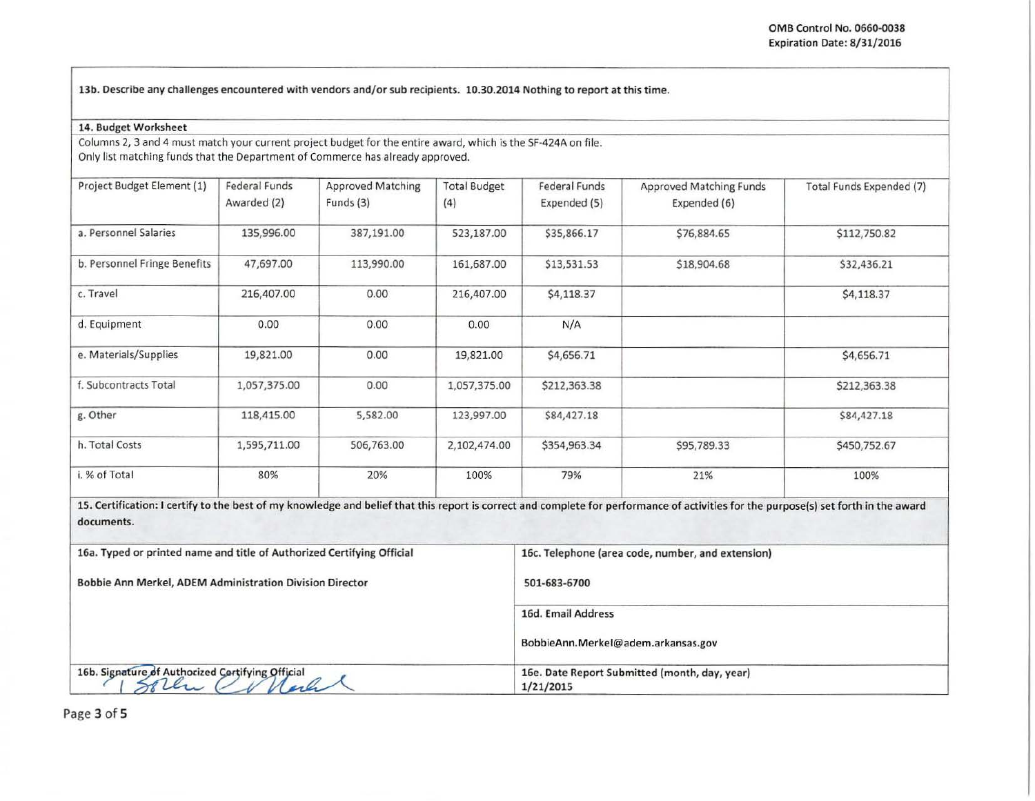I

13b. Describe any challenges encountered with vendors and/or sub recipients. 10.30.2014 Nothing to report at this time.

#### 14. Budget Worksheet

Columns 2, 3 and 4 must match your current project budget for the entire award, which is the SF-424A on file. Only list matching funds that the Department of Commerce has already approved.

| Project Budget Element (1)                                             | <b>Federal Funds</b><br>Awarded (2) | <b>Approved Matching</b><br>Funds (3) | <b>Total Budget</b><br>(4) | <b>Federal Funds</b><br>Expended (5)              | Approved Matching Funds<br>Expended (6)                                                                                                                                              | Total Funds Expended (7) |  |
|------------------------------------------------------------------------|-------------------------------------|---------------------------------------|----------------------------|---------------------------------------------------|--------------------------------------------------------------------------------------------------------------------------------------------------------------------------------------|--------------------------|--|
| a. Personnel Salaries                                                  | 135,996.00                          | 387,191.00                            | 523,187.00                 | \$35,866.17                                       | \$76,884.65                                                                                                                                                                          | \$112,750.82             |  |
| b. Personnel Fringe Benefits                                           | 47,697.00                           | 113,990.00                            | 161,687.00                 | \$13,531.53                                       | \$18,904.68                                                                                                                                                                          | \$32,436.21              |  |
| c. Travel                                                              | 216,407.00                          | 0.00                                  | 216,407.00                 | \$4,118.37                                        |                                                                                                                                                                                      | \$4,118.37               |  |
| d. Equipment                                                           | 0.00                                | 0.00                                  | 0.00                       | N/A                                               |                                                                                                                                                                                      |                          |  |
| e. Materials/Supplies                                                  | 19,821.00                           | 0.00                                  | 19,821.00                  | \$4,656.71                                        |                                                                                                                                                                                      | \$4,656.71               |  |
| f. Subcontracts Total                                                  | 1,057,375.00                        | 0.00                                  | 1,057,375.00               | \$212,363.38                                      |                                                                                                                                                                                      | \$212,363.38             |  |
| g. Other                                                               | 118,415.00                          | 5,582.00                              | 123,997.00                 | \$84,427.18                                       |                                                                                                                                                                                      | \$84,427.18              |  |
| h. Total Costs                                                         | 1,595,711.00                        | 506,763.00                            | 2,102,474.00               | \$354,963.34                                      | \$95,789.33                                                                                                                                                                          | \$450,752.67             |  |
| i. % of Total                                                          | 80%                                 | 20%                                   | 100%                       | 79%                                               | 21%                                                                                                                                                                                  | 100%                     |  |
| documents.                                                             |                                     |                                       |                            |                                                   | 15. Certification: I certify to the best of my knowledge and belief that this report is correct and complete for performance of activities for the purpose(s) set forth in the award |                          |  |
| 16a. Typed or printed name and title of Authorized Certifying Official |                                     |                                       |                            | 16c. Telephone (area code, number, and extension) |                                                                                                                                                                                      |                          |  |

Bobbie Ann Merkel, ADEM Administration Division Director 501-683-6700

|                                                  | 16d. Email Address                                         |  |
|--------------------------------------------------|------------------------------------------------------------|--|
|                                                  | BobbieAnn.Merkel@adem.arkansas.gov                         |  |
| 16b. Signature of Authorized Cortifying Official | 16e. Date Report Submitted (month, day, year)<br>1/21/2015 |  |

Page 3 of 5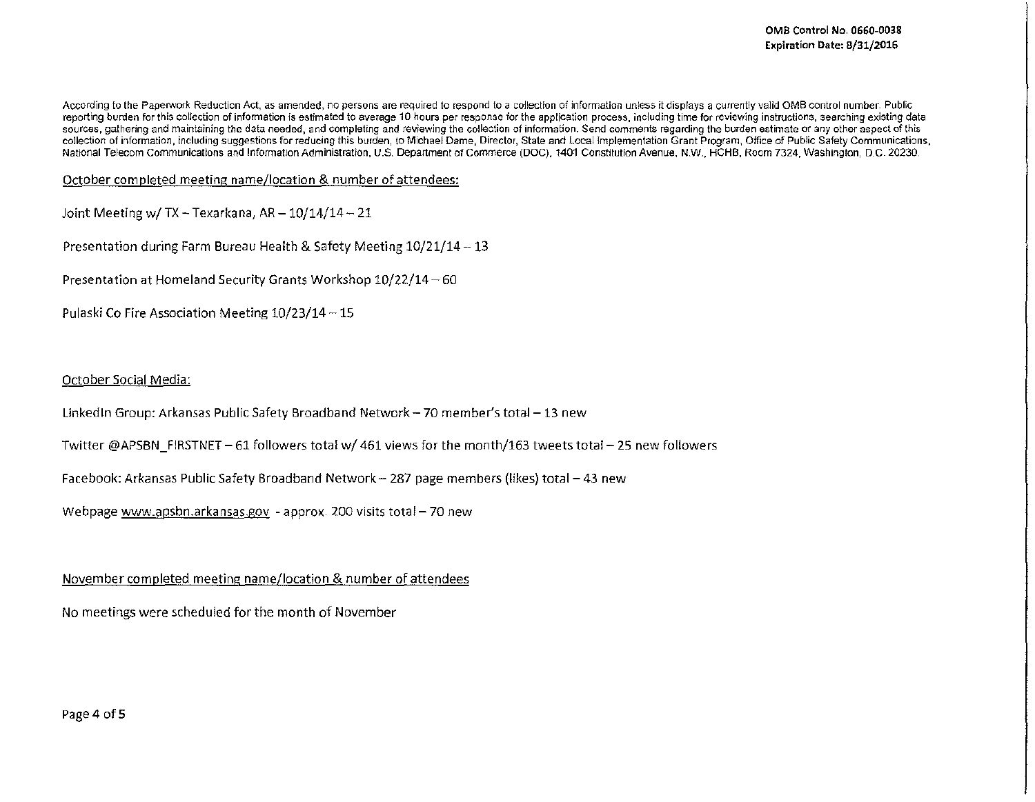According to the Paperwork Reduction Act, as amended, no persons are required to respond to a collection of information unless it displays a currently valid OMB control number. Public reporting burden for this collection of information is estimated to average 10 hours per response for the application process, including time for reviewing instructions, searching existing data sources, gathering and maintaining the data needed, and completing and reviewing the collection of information. Send comments regarding the burden estimate or any other aspect of this collection of information, including suggestions for reducing this burden, to Michael Dame, Director, State and Local Implementation Grant Program, Office of Public Safety Communications, National Telecom Communications and Information Administration, U.S. Department of Commerce (DOC), 1401 Constitution Avenue, N.W., HCHB, Room 7324, Washington, D.C- 20230.

October completed meeting name/location & number of attendees:

Joint Meeting w/ TX - Texarkana,  $AR - 10/14/14 - 21$ 

Presentation during Farm Bureau Health & Safety Meeting 10/21/14-13

Presentation at Homeland Security Grants Workshop 10/22/14 - 60

Pulaski Co Fire Association Meeting  $10/23/14 - 15$ 

### October Social Media:

Linked In Group: Arkansas Public Safety Broadband Network - 70 member's total - 13 new

Twitter @APSBN FIRSTNET- 61 followers total *wj* 461 views for the month/163 tweets total- 25 new followers

Facebook: Arkansas Public Safety Broadband Network - 287 page members (likes) total - 43 new

Webpage www.apsbn.arkansas.gov - approx. 200 visits total - 70 new

November completed meeting name/location & number of attendees

No meetings were scheduled for the month of November